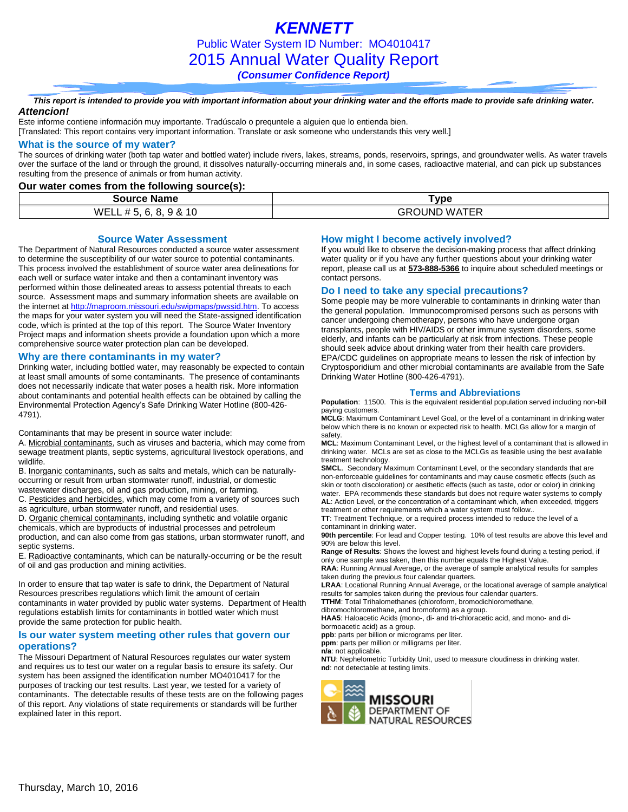*KENNETT* Public Water System ID Number: MO4010417 2015 Annual Water Quality Report *(Consumer Confidence Report)*

#### *This report is intended to provide you with important information about your drinking water and the efforts made to provide safe drinking water. Attencion!*

Este informe contiene información muy importante. Tradúscalo o prequntele a alguien que lo entienda bien.

[Translated: This report contains very important information. Translate or ask someone who understands this very well.]

### **What is the source of my water?**

The sources of drinking water (both tap water and bottled water) include rivers, lakes, streams, ponds, reservoirs, springs, and groundwater wells. As water travels over the surface of the land or through the ground, it dissolves naturally-occurring minerals and, in some cases, radioactive material, and can pick up substances resulting from the presence of animals or from human activity.

**Our water comes from the following source(s):**

| Source<br>Name                                                                       | vpe                                      |
|--------------------------------------------------------------------------------------|------------------------------------------|
| $\cdots$<br>10<br>WELL #<br>$\bm{\pi}$<br>ີ<br>$\alpha$<br>u.<br>.<br>$\cdot$<br>. . | <b>ROUND</b><br>WA.<br>זכוי<br>GK<br>. . |

#### **Source Water Assessment**

The Department of Natural Resources conducted a source water assessment to determine the susceptibility of our water source to potential contaminants. This process involved the establishment of source water area delineations for each well or surface water intake and then a contaminant inventory was performed within those delineated areas to assess potential threats to each source. Assessment maps and summary information sheets are available on the internet a[t http://maproom.missouri.edu/swipmaps/pwssid.htm.](http://maproom.missouri.edu/swipmaps/pwssid.htm) To access the maps for your water system you will need the State-assigned identification code, which is printed at the top of this report. The Source Water Inventory Project maps and information sheets provide a foundation upon which a more comprehensive source water protection plan can be developed.

#### **Why are there contaminants in my water?**

Drinking water, including bottled water, may reasonably be expected to contain at least small amounts of some contaminants. The presence of contaminants does not necessarily indicate that water poses a health risk. More information about contaminants and potential health effects can be obtained by calling the Environmental Protection Agency's Safe Drinking Water Hotline (800-426- 4791).

Contaminants that may be present in source water include:

A. Microbial contaminants, such as viruses and bacteria, which may come from sewage treatment plants, septic systems, agricultural livestock operations, and wildlife.

B. Inorganic contaminants, such as salts and metals, which can be naturallyoccurring or result from urban stormwater runoff, industrial, or domestic wastewater discharges, oil and gas production, mining, or farming.

C. Pesticides and herbicides, which may come from a variety of sources such as agriculture, urban stormwater runoff, and residential uses.

D. Organic chemical contaminants, including synthetic and volatile organic chemicals, which are byproducts of industrial processes and petroleum production, and can also come from gas stations, urban stormwater runoff, and septic systems.

E. Radioactive contaminants, which can be naturally-occurring or be the result of oil and gas production and mining activities.

In order to ensure that tap water is safe to drink, the Department of Natural Resources prescribes regulations which limit the amount of certain contaminants in water provided by public water systems. Department of Health regulations establish limits for contaminants in bottled water which must provide the same protection for public health.

## **Is our water system meeting other rules that govern our operations?**

The Missouri Department of Natural Resources regulates our water system and requires us to test our water on a regular basis to ensure its safety. Our system has been assigned the identification number MO4010417 for the purposes of tracking our test results. Last year, we tested for a variety of contaminants. The detectable results of these tests are on the following pages of this report. Any violations of state requirements or standards will be further explained later in this report.

## **How might I become actively involved?**

If you would like to observe the decision-making process that affect drinking water quality or if you have any further questions about your drinking water report, please call us at **573-888-5366** to inquire about scheduled meetings or contact persons.

### **Do I need to take any special precautions?**

Some people may be more vulnerable to contaminants in drinking water than the general population. Immunocompromised persons such as persons with cancer undergoing chemotherapy, persons who have undergone organ transplants, people with HIV/AIDS or other immune system disorders, some elderly, and infants can be particularly at risk from infections. These people should seek advice about drinking water from their health care providers. EPA/CDC guidelines on appropriate means to lessen the risk of infection by Cryptosporidium and other microbial contaminants are available from the Safe Drinking Water Hotline (800-426-4791).

#### **Terms and Abbreviations**

**Population**: 11500. This is the equivalent residential population served including non-bill paying customers.

**MCLG**: Maximum Contaminant Level Goal, or the level of a contaminant in drinking water below which there is no known or expected risk to health. MCLGs allow for a margin of safety.

**MCL**: Maximum Contaminant Level, or the highest level of a contaminant that is allowed in drinking water. MCLs are set as close to the MCLGs as feasible using the best available treatment technology.

**SMCL**. Secondary Maximum Contaminant Level, or the secondary standards that are non-enforceable guidelines for contaminants and may cause cosmetic effects (such as skin or tooth discoloration) or aesthetic effects (such as taste, odor or color) in drinking water. EPA recommends these standards but does not require water systems to comply **AL**: Action Level, or the concentration of a contaminant which, when exceeded, triggers

treatment or other requirements which a water system must follow..

**TT**: Treatment Technique, or a required process intended to reduce the level of a contaminant in drinking water.

**90th percentile**: For lead and Copper testing. 10% of test results are above this level and 90% are below this level.

**Range of Results**: Shows the lowest and highest levels found during a testing period, if only one sample was taken, then this number equals the Highest Value. **RAA**: Running Annual Average, or the average of sample analytical results for samples

taken during the previous four calendar quarters. **LRAA**: Locational Running Annual Average, or the locational average of sample analytical

results for samples taken during the previous four calendar quarters.

**TTHM**: Total Trihalomethanes (chloroform, bromodichloromethane,

dibromochloromethane, and bromoform) as a group. **HAA5**: Haloacetic Acids (mono-, di- and tri-chloracetic acid, and mono- and dibormoacetic acid) as a group.

**ppb**: parts per billion or micrograms per liter.

**ppm**: parts per million or milligrams per liter.

**n/a**: not applicable.

**NTU**: Nephelometric Turbidity Unit, used to measure cloudiness in drinking water. **nd**: not detectable at testing limits.

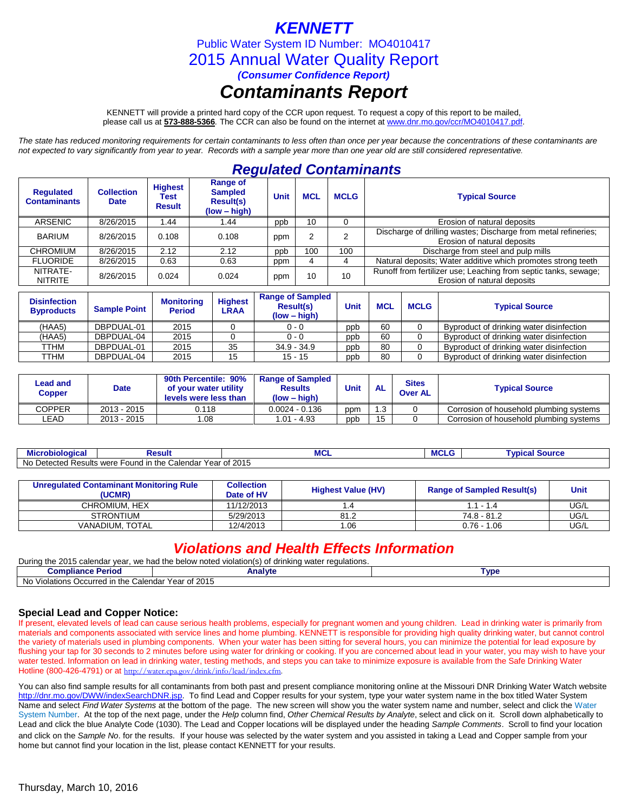# *KENNETT*

Public Water System ID Number: MO4010417

2015 Annual Water Quality Report

*(Consumer Confidence Report)*

# *Contaminants Report*

KENNETT will provide a printed hard copy of the CCR upon request. To request a copy of this report to be mailed, please call us at **573-888-5366***.* The CCR can also be found on the internet at www.dnr.mo.gov/ccr/MO4010417.pdf.

*The state has reduced monitoring requirements for certain contaminants to less often than once per year because the concentrations of these contaminants are not expected to vary significantly from year to year. Records with a sample year more than one year old are still considered representative.*

# *Regulated Contaminants*

| <b>Requlated</b><br><b>Contaminants</b> | <b>Collection</b><br><b>Date</b> | <b>Highest</b><br>Test<br><b>Result</b> | <b>Range of</b><br><b>Sampled</b><br><b>Result(s)</b><br>$(low - high)$ | <b>Unit</b> | <b>MCL</b> | <b>MCLG</b> | <b>Typical Source</b>                                                                          |
|-----------------------------------------|----------------------------------|-----------------------------------------|-------------------------------------------------------------------------|-------------|------------|-------------|------------------------------------------------------------------------------------------------|
| <b>ARSENIC</b>                          | 8/26/2015                        | 44. ا                                   | 1.44                                                                    | ppb         | 10         |             | Erosion of natural deposits                                                                    |
| <b>BARIUM</b>                           | 8/26/2015                        | 0.108                                   | 0.108                                                                   | ppm         |            |             | Discharge of drilling wastes; Discharge from metal refineries;<br>Erosion of natural deposits  |
| CHROMIUM                                | 8/26/2015                        | 2.12                                    | 2.12                                                                    | ppb         | 100        | 100         | Discharge from steel and pulp mills                                                            |
| <b>FLUORIDE</b>                         | 8/26/2015                        | 0.63                                    | 0.63                                                                    | ppm         |            |             | Natural deposits; Water additive which promotes strong teeth                                   |
| NITRATE-<br><b>NITRITE</b>              | 8/26/2015                        | 0.024                                   | 0.024                                                                   | ppm         | 10         | 10          | Runoff from fertilizer use; Leaching from septic tanks, sewage;<br>Erosion of natural deposits |

| <b>Disinfection</b><br><b>Byproducts</b> | <b>Sample Point</b> | <b>Monitoring</b><br><b>Period</b> | <b>Highest</b><br>LRAA | <b>Range of Sampled</b><br><b>Result(s)</b><br>$(low - high)$ | Unit | <b>MCL</b> | <b>MCLG</b> | <b>Typical Source</b>                    |
|------------------------------------------|---------------------|------------------------------------|------------------------|---------------------------------------------------------------|------|------------|-------------|------------------------------------------|
| (HAA5)                                   | DBPDUAL-01          | 2015                               |                        | $0 - 0$                                                       | ppb  | 60         |             | Byproduct of drinking water disinfection |
| (HAA5)                                   | DBPDUAL-04          | 2015                               |                        | $0 - 0$                                                       | ppb  | 60         |             | Byproduct of drinking water disinfection |
| TTHM                                     | DBPDUAL-01          | 2015                               | 35                     | $34.9 - 34.9$                                                 | ppb  | 80         |             | Byproduct of drinking water disinfection |
| TTHM                                     | DBPDUAL-04          | 2015                               | 15                     | $15 - 15$                                                     | ppb  | 80         |             | Byproduct of drinking water disinfection |

| Lead and<br>Copper | <b>Date</b> | 90th Percentile: 90%<br>of your water utility<br>levels were less than | <b>Range of Sampled</b><br><b>Results</b><br>$(low - high)$ | Unit | AL  | <b>Sites</b><br><b>Over AL</b> | <b>Typical Source</b>                   |
|--------------------|-------------|------------------------------------------------------------------------|-------------------------------------------------------------|------|-----|--------------------------------|-----------------------------------------|
| COPPER             | 2013 - 2015 | 0.118                                                                  | $0.0024 - 0.136$                                            | ppm  | l.3 |                                | Corrosion of household plumbina systems |
| LEAD.              | 2013 - 2015 | 1.08                                                                   | 1.01 - 4.93                                                 | ppb  | 15  |                                | Corrosion of household plumbing systems |

| ---<br>.<br>---<br>MICI<br>opiologica | रesult                                           | <b>MCI</b>    | IVI\ | <b>VDI</b><br>ouuce<br>. . |
|---------------------------------------|--------------------------------------------------|---------------|------|----------------------------|
| No<br>Detected P<br>. مہ ب<br>⊀esults | Year of<br>the<br>Calendar<br>were<br>Found<br>. | 2015<br>نزالك |      |                            |

| Unregulated Contaminant Monitoring Rule<br>(UCMR) | <b>Collection</b><br>Date of HV | <b>Highest Value (HV)</b> | <b>Range of Sampled Result(s)</b> | Unit |
|---------------------------------------------------|---------------------------------|---------------------------|-----------------------------------|------|
| CHROMIUM. HEX                                     | 11/12/2013                      | . 4                       | $1.1 - 1.4$                       | UG/L |
| <b>STRONTIUM</b>                                  | 5/29/2013                       | 81.2                      | 74.8 - 81.2                       | UG/L |
| VANADIUM. TOTAL                                   | 12/4/2013                       | .06                       | 0.76 - 1.06                       | UG/L |

# *Violations and Health Effects Information*

| During the 2015 calendar year, we had the below noted violation(s) of drinking water regulations. |         |            |  |  |  |  |  |
|---------------------------------------------------------------------------------------------------|---------|------------|--|--|--|--|--|
| <b>Compliance Period</b>                                                                          | Analvte | <b>vpe</b> |  |  |  |  |  |
| Calendar Year of 2015<br>No<br>Violations Occurred in the                                         |         |            |  |  |  |  |  |

## **Special Lead and Copper Notice:**

If present, elevated levels of lead can cause serious health problems, especially for pregnant women and young children. Lead in drinking water is primarily from materials and components associated with service lines and home plumbing. KENNETT is responsible for providing high quality drinking water, but cannot control the variety of materials used in plumbing components. When your water has been sitting for several hours, you can minimize the potential for lead exposure by flushing your tap for 30 seconds to 2 minutes before using water for drinking or cooking. If you are concerned about lead in your water, you may wish to have your water tested. Information on lead in drinking water, testing methods, and steps you can take to minimize exposure is available from the Safe Drinking Water Hotline (800-426-4791) or at http://water.epa.gov/drink/info/lead/index.cfm

You can also find sample results for all contaminants from both past and present compliance monitoring online at the Missouri DNR Drinking Water Watch website [http://dnr.mo.gov/DWW/indexSearchDNR.jsp.](http://dnr.mo.gov/DWW/indexSearchDNR.jsp) To find Lead and Copper results for your system, type your water system name in the box titled Water System Name and select *Find Water Systems* at the bottom of the page. The new screen will show you the water system name and number, select and click the Water System Number. At the top of the next page, under the *Help* column find, *Other Chemical Results by Analyte*, select and click on it. Scroll down alphabetically to Lead and click the blue Analyte Code (1030). The Lead and Copper locations will be displayed under the heading *Sample Comments*. Scroll to find your location and click on the *Sample No*. for the results. If your house was selected by the water system and you assisted in taking a Lead and Copper sample from your home but cannot find your location in the list, please contact KENNETT for your results.